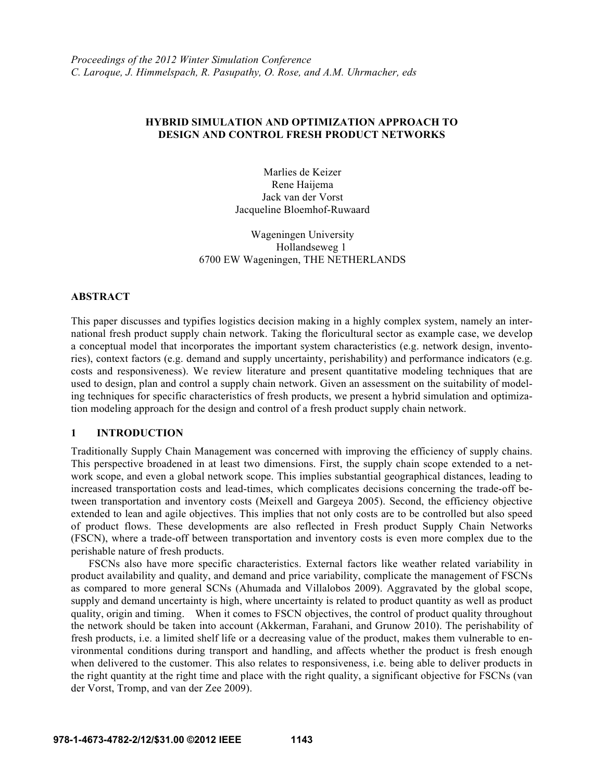# **HYBRID SIMULATION AND OPTIMIZATION APPROACH TO DESIGN AND CONTROL FRESH PRODUCT NETWORKS**

Marlies de Keizer Rene Haijema Jack van der Vorst Jacqueline Bloemhof-Ruwaard

Wageningen University Hollandseweg 1 6700 EW Wageningen, THE NETHERLANDS

### **ABSTRACT**

This paper discusses and typifies logistics decision making in a highly complex system, namely an international fresh product supply chain network. Taking the floricultural sector as example case, we develop a conceptual model that incorporates the important system characteristics (e.g. network design, inventories), context factors (e.g. demand and supply uncertainty, perishability) and performance indicators (e.g. costs and responsiveness). We review literature and present quantitative modeling techniques that are used to design, plan and control a supply chain network. Given an assessment on the suitability of modeling techniques for specific characteristics of fresh products, we present a hybrid simulation and optimization modeling approach for the design and control of a fresh product supply chain network.

### **1 INTRODUCTION**

Traditionally Supply Chain Management was concerned with improving the efficiency of supply chains. This perspective broadened in at least two dimensions. First, the supply chain scope extended to a network scope, and even a global network scope. This implies substantial geographical distances, leading to increased transportation costs and lead-times, which complicates decisions concerning the trade-off between transportation and inventory costs (Meixell and Gargeya 2005). Second, the efficiency objective extended to lean and agile objectives. This implies that not only costs are to be controlled but also speed of product flows. These developments are also reflected in Fresh product Supply Chain Networks (FSCN), where a trade-off between transportation and inventory costs is even more complex due to the perishable nature of fresh products.

 FSCNs also have more specific characteristics. External factors like weather related variability in product availability and quality, and demand and price variability, complicate the management of FSCNs as compared to more general SCNs (Ahumada and Villalobos 2009). Aggravated by the global scope, supply and demand uncertainty is high, where uncertainty is related to product quantity as well as product quality, origin and timing. When it comes to FSCN objectives, the control of product quality throughout the network should be taken into account (Akkerman, Farahani, and Grunow 2010). The perishability of fresh products, i.e. a limited shelf life or a decreasing value of the product, makes them vulnerable to environmental conditions during transport and handling, and affects whether the product is fresh enough when delivered to the customer. This also relates to responsiveness, i.e. being able to deliver products in the right quantity at the right time and place with the right quality, a significant objective for FSCNs (van der Vorst, Tromp, and van der Zee 2009).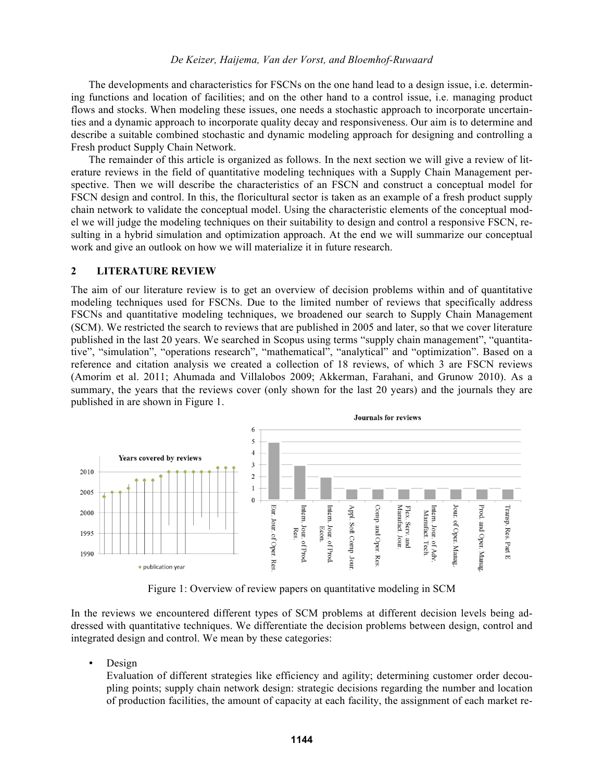The developments and characteristics for FSCNs on the one hand lead to a design issue, i.e. determining functions and location of facilities; and on the other hand to a control issue, i.e. managing product flows and stocks. When modeling these issues, one needs a stochastic approach to incorporate uncertainties and a dynamic approach to incorporate quality decay and responsiveness. Our aim is to determine and describe a suitable combined stochastic and dynamic modeling approach for designing and controlling a Fresh product Supply Chain Network.

 The remainder of this article is organized as follows. In the next section we will give a review of literature reviews in the field of quantitative modeling techniques with a Supply Chain Management perspective. Then we will describe the characteristics of an FSCN and construct a conceptual model for FSCN design and control. In this, the floricultural sector is taken as an example of a fresh product supply chain network to validate the conceptual model. Using the characteristic elements of the conceptual model we will judge the modeling techniques on their suitability to design and control a responsive FSCN, resulting in a hybrid simulation and optimization approach. At the end we will summarize our conceptual work and give an outlook on how we will materialize it in future research.

### **2 LITERATURE REVIEW**

The aim of our literature review is to get an overview of decision problems within and of quantitative modeling techniques used for FSCNs. Due to the limited number of reviews that specifically address FSCNs and quantitative modeling techniques, we broadened our search to Supply Chain Management (SCM). We restricted the search to reviews that are published in 2005 and later, so that we cover literature published in the last 20 years. We searched in Scopus using terms "supply chain management", "quantitative", "simulation", "operations research", "mathematical", "analytical" and "optimization". Based on a reference and citation analysis we created a collection of 18 reviews, of which 3 are FSCN reviews (Amorim et al. 2011; Ahumada and Villalobos 2009; Akkerman, Farahani, and Grunow 2010). As a summary, the years that the reviews cover (only shown for the last 20 years) and the journals they are published in are shown in Figure 1.



Figure 1: Overview of review papers on quantitative modeling in SCM

In the reviews we encountered different types of SCM problems at different decision levels being addressed with quantitative techniques. We differentiate the decision problems between design, control and integrated design and control. We mean by these categories:

• Design

Evaluation of different strategies like efficiency and agility; determining customer order decoupling points; supply chain network design: strategic decisions regarding the number and location of production facilities, the amount of capacity at each facility, the assignment of each market re-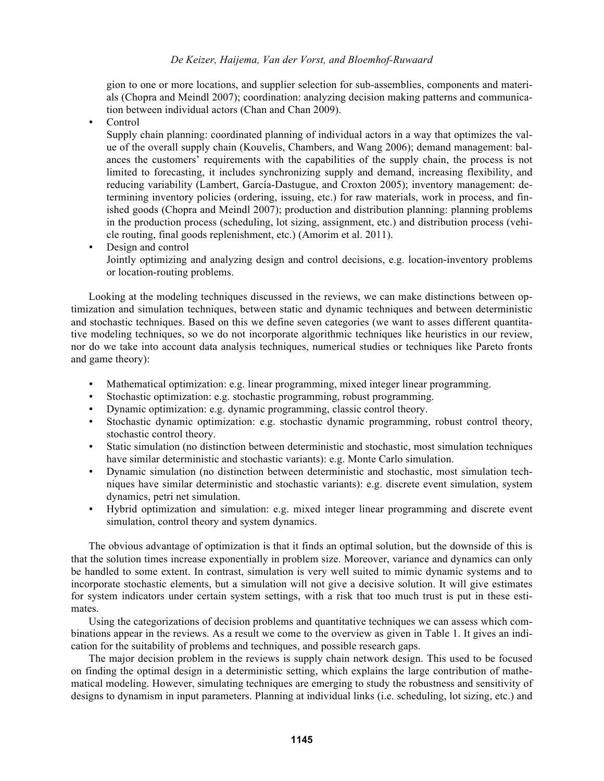gion to one or more locations, and supplier selection for sub-assemblies, components and materials (Chopra and Meindl 2007); coordination: analyzing decision making patterns and communication between individual actors (Chan and Chan 2009).

• Control

Supply chain planning: coordinated planning of individual actors in a way that optimizes the value of the overall supply chain (Kouvelis, Chambers, and Wang 2006); demand management: balances the customers' requirements with the capabilities of the supply chain, the process is not limited to forecasting, it includes synchronizing supply and demand, increasing flexibility, and reducing variability (Lambert, García-Dastugue, and Croxton 2005); inventory management: determining inventory policies (ordering, issuing, etc.) for raw materials, work in process, and finished goods (Chopra and Meindl 2007); production and distribution planning: planning problems in the production process (scheduling, lot sizing, assignment, etc.) and distribution process (vehicle routing, final goods replenishment, etc.) (Amorim et al. 2011).

• Design and control Jointly optimizing and analyzing design and control decisions, e.g. location-inventory problems or location-routing problems.

 Looking at the modeling techniques discussed in the reviews, we can make distinctions between optimization and simulation techniques, between static and dynamic techniques and between deterministic and stochastic techniques. Based on this we define seven categories (we want to asses different quantitative modeling techniques, so we do not incorporate algorithmic techniques like heuristics in our review, nor do we take into account data analysis techniques, numerical studies or techniques like Pareto fronts and game theory):

- Mathematical optimization: e.g. linear programming, mixed integer linear programming.
- Stochastic optimization: e.g. stochastic programming, robust programming.
- Dynamic optimization: e.g. dynamic programming, classic control theory.
- Stochastic dynamic optimization: e.g. stochastic dynamic programming, robust control theory, stochastic control theory.
- Static simulation (no distinction between deterministic and stochastic, most simulation techniques have similar deterministic and stochastic variants): e.g. Monte Carlo simulation.
- Dynamic simulation (no distinction between deterministic and stochastic, most simulation techniques have similar deterministic and stochastic variants): e.g. discrete event simulation, system dynamics, petri net simulation.
- Hybrid optimization and simulation: e.g. mixed integer linear programming and discrete event simulation, control theory and system dynamics.

 The obvious advantage of optimization is that it finds an optimal solution, but the downside of this is that the solution times increase exponentially in problem size. Moreover, variance and dynamics can only be handled to some extent. In contrast, simulation is very well suited to mimic dynamic systems and to incorporate stochastic elements, but a simulation will not give a decisive solution. It will give estimates for system indicators under certain system settings, with a risk that too much trust is put in these estimates.

 Using the categorizations of decision problems and quantitative techniques we can assess which combinations appear in the reviews. As a result we come to the overview as given in Table 1. It gives an indication for the suitability of problems and techniques, and possible research gaps.

 The major decision problem in the reviews is supply chain network design. This used to be focused on finding the optimal design in a deterministic setting, which explains the large contribution of mathematical modeling. However, simulating techniques are emerging to study the robustness and sensitivity of designs to dynamism in input parameters. Planning at individual links (i.e. scheduling, lot sizing, etc.) and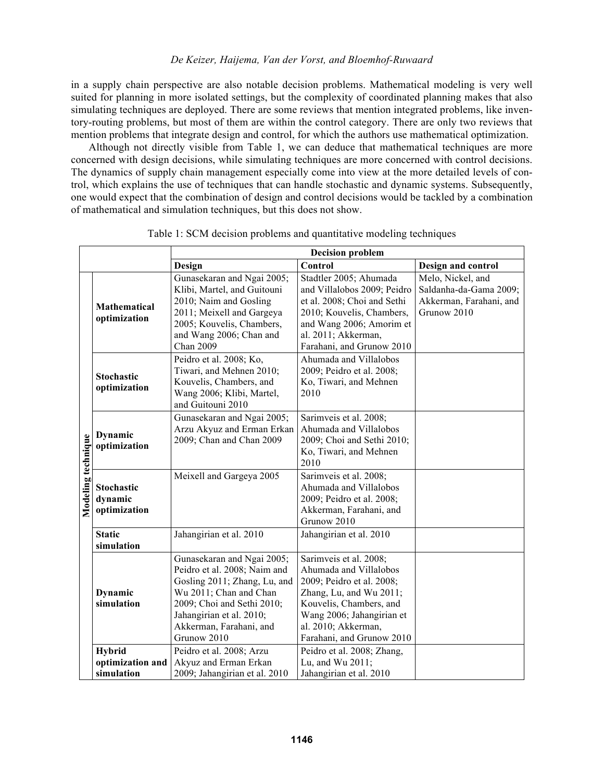in a supply chain perspective are also notable decision problems. Mathematical modeling is very well suited for planning in more isolated settings, but the complexity of coordinated planning makes that also simulating techniques are deployed. There are some reviews that mention integrated problems, like inventory-routing problems, but most of them are within the control category. There are only two reviews that mention problems that integrate design and control, for which the authors use mathematical optimization.

 Although not directly visible from Table 1, we can deduce that mathematical techniques are more concerned with design decisions, while simulating techniques are more concerned with control decisions. The dynamics of supply chain management especially come into view at the more detailed levels of control, which explains the use of techniques that can handle stochastic and dynamic systems. Subsequently, one would expect that the combination of design and control decisions would be tackled by a combination of mathematical and simulation techniques, but this does not show.

|                    |                                                 | <b>Decision problem</b>                                                                                                                                                                                                  |                                                                                                                                                                                                                      |                                                                                       |  |  |  |  |  |
|--------------------|-------------------------------------------------|--------------------------------------------------------------------------------------------------------------------------------------------------------------------------------------------------------------------------|----------------------------------------------------------------------------------------------------------------------------------------------------------------------------------------------------------------------|---------------------------------------------------------------------------------------|--|--|--|--|--|
|                    |                                                 | Design                                                                                                                                                                                                                   | <b>Design and control</b>                                                                                                                                                                                            |                                                                                       |  |  |  |  |  |
|                    | <b>Mathematical</b><br>optimization             | Gunasekaran and Ngai 2005;<br>Klibi, Martel, and Guitouni<br>2010; Naim and Gosling<br>2011; Meixell and Gargeya<br>2005; Kouvelis, Chambers,<br>and Wang 2006; Chan and<br><b>Chan 2009</b>                             | Stadtler 2005; Ahumada<br>and Villalobos 2009; Peidro<br>et al. 2008; Choi and Sethi<br>2010; Kouvelis, Chambers,<br>and Wang 2006; Amorim et<br>al. 2011; Akkerman,<br>Farahani, and Grunow 2010                    | Melo, Nickel, and<br>Saldanha-da-Gama 2009;<br>Akkerman, Farahani, and<br>Grunow 2010 |  |  |  |  |  |
|                    | <b>Stochastic</b><br>optimization               | Peidro et al. 2008; Ko,<br>Tiwari, and Mehnen 2010;<br>Kouvelis, Chambers, and<br>Wang 2006; Klibi, Martel,<br>and Guitouni 2010                                                                                         | Ahumada and Villalobos<br>2009; Peidro et al. 2008;<br>Ko, Tiwari, and Mehnen<br>2010                                                                                                                                |                                                                                       |  |  |  |  |  |
|                    | <b>Dynamic</b><br>optimization                  | Gunasekaran and Ngai 2005;<br>Arzu Akyuz and Erman Erkan<br>2009; Chan and Chan 2009                                                                                                                                     | Sarimveis et al. 2008;<br>Ahumada and Villalobos<br>2009; Choi and Sethi 2010;<br>Ko, Tiwari, and Mehnen<br>2010                                                                                                     |                                                                                       |  |  |  |  |  |
| Modeling technique | <b>Stochastic</b><br>dynamic<br>optimization    | Meixell and Gargeya 2005                                                                                                                                                                                                 | Sarimveis et al. 2008;<br>Ahumada and Villalobos<br>2009; Peidro et al. 2008;<br>Akkerman, Farahani, and<br>Grunow 2010                                                                                              |                                                                                       |  |  |  |  |  |
|                    | <b>Static</b><br>simulation                     | Jahangirian et al. 2010                                                                                                                                                                                                  | Jahangirian et al. 2010                                                                                                                                                                                              |                                                                                       |  |  |  |  |  |
|                    | <b>Dynamic</b><br>simulation                    | Gunasekaran and Ngai 2005;<br>Peidro et al. 2008; Naim and<br>Gosling 2011; Zhang, Lu, and<br>Wu 2011; Chan and Chan<br>2009; Choi and Sethi 2010;<br>Jahangirian et al. 2010;<br>Akkerman, Farahani, and<br>Grunow 2010 | Sarimveis et al. 2008;<br>Ahumada and Villalobos<br>2009; Peidro et al. 2008;<br>Zhang, Lu, and Wu 2011;<br>Kouvelis, Chambers, and<br>Wang 2006; Jahangirian et<br>al. 2010; Akkerman,<br>Farahani, and Grunow 2010 |                                                                                       |  |  |  |  |  |
|                    | <b>Hybrid</b><br>optimization and<br>simulation | Peidro et al. 2008; Arzu<br>Akyuz and Erman Erkan<br>2009; Jahangirian et al. 2010                                                                                                                                       | Peidro et al. 2008; Zhang,<br>Lu, and Wu 2011;<br>Jahangirian et al. 2010                                                                                                                                            |                                                                                       |  |  |  |  |  |

Table 1: SCM decision problems and quantitative modeling techniques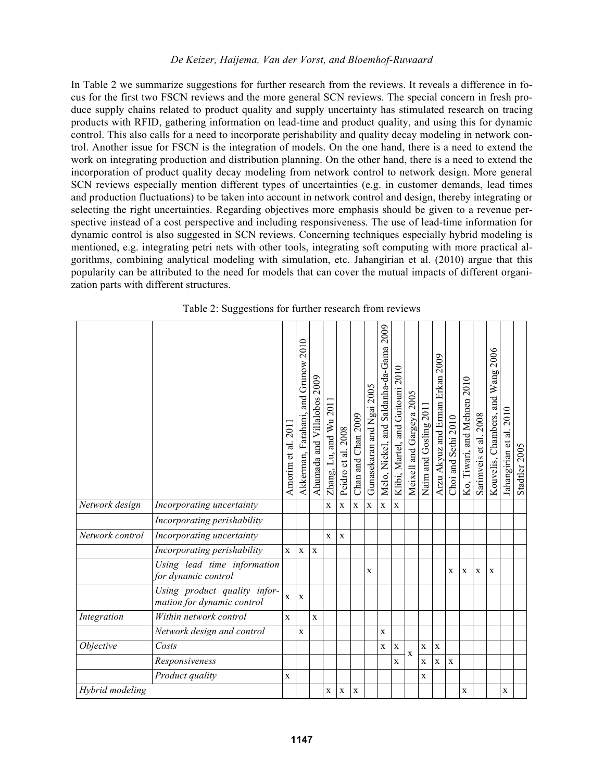In Table 2 we summarize suggestions for further research from the reviews. It reveals a difference in focus for the first two FSCN reviews and the more general SCN reviews. The special concern in fresh produce supply chains related to product quality and supply uncertainty has stimulated research on tracing products with RFID, gathering information on lead-time and product quality, and using this for dynamic control. This also calls for a need to incorporate perishability and quality decay modeling in network control. Another issue for FSCN is the integration of models. On the one hand, there is a need to extend the work on integrating production and distribution planning. On the other hand, there is a need to extend the incorporation of product quality decay modeling from network control to network design. More general SCN reviews especially mention different types of uncertainties (e.g. in customer demands, lead times and production fluctuations) to be taken into account in network control and design, thereby integrating or selecting the right uncertainties. Regarding objectives more emphasis should be given to a revenue perspective instead of a cost perspective and including responsiveness. The use of lead-time information for dynamic control is also suggested in SCN reviews. Concerning techniques especially hybrid modeling is mentioned, e.g. integrating petri nets with other tools, integrating soft computing with more practical algorithms, combining analytical modeling with simulation, etc. Jahangirian et al. (2010) argue that this popularity can be attributed to the need for models that can cover the mutual impacts of different organization parts with different structures.

|                 |                                                            | 201<br>Amorim et al. | 2010<br>Grunow<br>$\overline{a}$<br>Farahani,<br>Akkerman, | 2009<br>Ahumada and Villalobos | 201<br>Zhang, Lu, and Wu | Peidro et al. 2008 | Chan and Chan 2009 | Gunasekaran and Ngai 2005 | 2009<br>Melo, Nickel, and Saldanha-da-Gama | 2010<br>Klibi, Martel, and Guitouni | Meixell and Gargeya 2005 | Naim and Gosling 201 | 2009<br>Arzu Akyuz and Erman Erkan | Choi and Sethi 2010 | 2010<br>Tiwari, and Mehnen<br>Ko, | 2008<br>Sarimveis et al. | 2006<br>ang<br>Kouvelis, Chambers, and W | Jahangirian et al. 2010 | Stadtler 2005 |
|-----------------|------------------------------------------------------------|----------------------|------------------------------------------------------------|--------------------------------|--------------------------|--------------------|--------------------|---------------------------|--------------------------------------------|-------------------------------------|--------------------------|----------------------|------------------------------------|---------------------|-----------------------------------|--------------------------|------------------------------------------|-------------------------|---------------|
| Network design  | Incorporating uncertainty                                  |                      |                                                            |                                | $\mathbf X$              | $\mathbf X$        | $\mathbf X$        | $\mathbf X$               | $\mathbf X$                                | $\mathbf X$                         |                          |                      |                                    |                     |                                   |                          |                                          |                         |               |
|                 | Incorporating perishability                                |                      |                                                            |                                |                          |                    |                    |                           |                                            |                                     |                          |                      |                                    |                     |                                   |                          |                                          |                         |               |
| Network control | Incorporating uncertainty                                  |                      |                                                            |                                | $\mathbf X$              | $\mathbf x$        |                    |                           |                                            |                                     |                          |                      |                                    |                     |                                   |                          |                                          |                         |               |
|                 | Incorporating perishability                                | $\mathbf X$          | $\mathbf X$                                                | $\mathbf X$                    |                          |                    |                    |                           |                                            |                                     |                          |                      |                                    |                     |                                   |                          |                                          |                         |               |
|                 | Using lead time information<br>for dynamic control         |                      |                                                            |                                |                          |                    |                    | X                         |                                            |                                     |                          |                      |                                    | X                   | $\mathbf X$                       | X                        | $\mathbf{X}$                             |                         |               |
|                 | Using product quality infor-<br>mation for dynamic control | $\mathbf X$          | $\mathbf X$                                                |                                |                          |                    |                    |                           |                                            |                                     |                          |                      |                                    |                     |                                   |                          |                                          |                         |               |
| Integration     | Within network control                                     | $\mathbf X$          |                                                            | $\mathbf x$                    |                          |                    |                    |                           |                                            |                                     |                          |                      |                                    |                     |                                   |                          |                                          |                         |               |
|                 | Network design and control                                 |                      | X                                                          |                                |                          |                    |                    |                           | $\mathbf X$                                |                                     |                          |                      |                                    |                     |                                   |                          |                                          |                         |               |
| Objective       | Costs                                                      |                      |                                                            |                                |                          |                    |                    |                           | $\mathbf X$                                | $\mathbf X$                         | $\mathbf X$              | $\mathbf X$          | $\mathbf X$                        |                     |                                   |                          |                                          |                         |               |
|                 | Responsiveness                                             |                      |                                                            |                                |                          |                    |                    |                           |                                            | $\mathbf x$                         |                          | $\mathbf X$          | $\mathbf X$                        | $\mathbf{X}$        |                                   |                          |                                          |                         |               |
|                 | Product quality                                            | X                    |                                                            |                                |                          |                    |                    |                           |                                            |                                     |                          | $\mathbf X$          |                                    |                     |                                   |                          |                                          |                         |               |
| Hybrid modeling |                                                            |                      |                                                            |                                | $\mathbf X$              | $\mathbf X$        | $\mathbf X$        |                           |                                            |                                     |                          |                      |                                    |                     | $\mathbf X$                       |                          |                                          | $\mathbf X$             |               |

Table 2: Suggestions for further research from reviews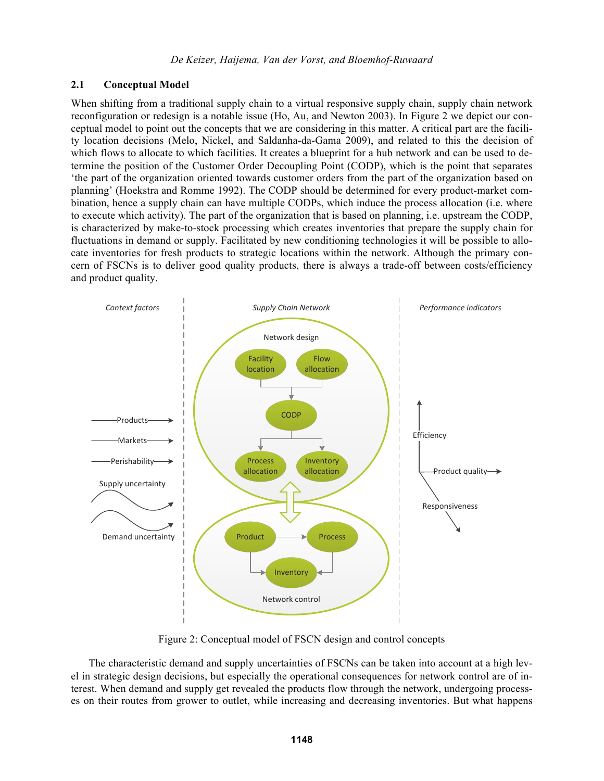# **2.1 Conceptual Model**

When shifting from a traditional supply chain to a virtual responsive supply chain, supply chain network reconfiguration or redesign is a notable issue (Ho, Au, and Newton 2003). In Figure 2 we depict our conceptual model to point out the concepts that we are considering in this matter. A critical part are the facility location decisions (Melo, Nickel, and Saldanha-da-Gama 2009), and related to this the decision of which flows to allocate to which facilities. It creates a blueprint for a hub network and can be used to determine the position of the Customer Order Decoupling Point (CODP), which is the point that separates 'the part of the organization oriented towards customer orders from the part of the organization based on planning' (Hoekstra and Romme 1992). The CODP should be determined for every product-market combination, hence a supply chain can have multiple CODPs, which induce the process allocation (i.e. where to execute which activity). The part of the organization that is based on planning, i.e. upstream the CODP, is characterized by make-to-stock processing which creates inventories that prepare the supply chain for fluctuations in demand or supply. Facilitated by new conditioning technologies it will be possible to allocate inventories for fresh products to strategic locations within the network. Although the primary concern of FSCNs is to deliver good quality products, there is always a trade-off between costs/efficiency and product quality.



Figure 2: Conceptual model of FSCN design and control concepts

The characteristic demand and supply uncertainties of FSCNs can be taken into account at a high level in strategic design decisions, but especially the operational consequences for network control are of interest. When demand and supply get revealed the products flow through the network, undergoing processes on their routes from grower to outlet, while increasing and decreasing inventories. But what happens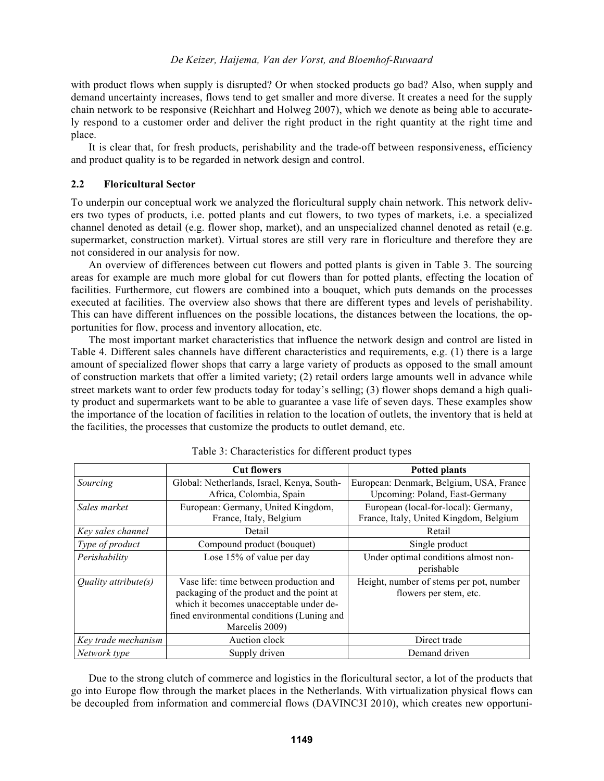with product flows when supply is disrupted? Or when stocked products go bad? Also, when supply and demand uncertainty increases, flows tend to get smaller and more diverse. It creates a need for the supply chain network to be responsive (Reichhart and Holweg 2007), which we denote as being able to accurately respond to a customer order and deliver the right product in the right quantity at the right time and place.

It is clear that, for fresh products, perishability and the trade-off between responsiveness, efficiency and product quality is to be regarded in network design and control.

## **2.2 Floricultural Sector**

To underpin our conceptual work we analyzed the floricultural supply chain network. This network delivers two types of products, i.e. potted plants and cut flowers, to two types of markets, i.e. a specialized channel denoted as detail (e.g. flower shop, market), and an unspecialized channel denoted as retail (e.g. supermarket, construction market). Virtual stores are still very rare in floriculture and therefore they are not considered in our analysis for now.

 An overview of differences between cut flowers and potted plants is given in Table 3. The sourcing areas for example are much more global for cut flowers than for potted plants, effecting the location of facilities. Furthermore, cut flowers are combined into a bouquet, which puts demands on the processes executed at facilities. The overview also shows that there are different types and levels of perishability. This can have different influences on the possible locations, the distances between the locations, the opportunities for flow, process and inventory allocation, etc.

 The most important market characteristics that influence the network design and control are listed in Table 4. Different sales channels have different characteristics and requirements, e.g. (1) there is a large amount of specialized flower shops that carry a large variety of products as opposed to the small amount of construction markets that offer a limited variety; (2) retail orders large amounts well in advance while street markets want to order few products today for today's selling; (3) flower shops demand a high quality product and supermarkets want to be able to guarantee a vase life of seven days. These examples show the importance of the location of facilities in relation to the location of outlets, the inventory that is held at the facilities, the processes that customize the products to outlet demand, etc.

|                           | <b>Cut flowers</b>                                                                                                                                                                             | <b>Potted plants</b>                                                           |  |  |  |  |
|---------------------------|------------------------------------------------------------------------------------------------------------------------------------------------------------------------------------------------|--------------------------------------------------------------------------------|--|--|--|--|
| Sourcing                  | Global: Netherlands, Israel, Kenya, South-<br>Africa, Colombia, Spain                                                                                                                          | European: Denmark, Belgium, USA, France<br>Upcoming: Poland, East-Germany      |  |  |  |  |
| Sales market              | European: Germany, United Kingdom,<br>France, Italy, Belgium                                                                                                                                   | European (local-for-local): Germany,<br>France, Italy, United Kingdom, Belgium |  |  |  |  |
| Key sales channel         | Detail                                                                                                                                                                                         | Retail                                                                         |  |  |  |  |
| Type of product           | Compound product (bouquet)                                                                                                                                                                     | Single product                                                                 |  |  |  |  |
| Perishability             | Lose 15% of value per day                                                                                                                                                                      | Under optimal conditions almost non-<br>perishable                             |  |  |  |  |
| $Quality$ attribute $(s)$ | Vase life: time between production and<br>packaging of the product and the point at<br>which it becomes unacceptable under de-<br>fined environmental conditions (Luning and<br>Marcelis 2009) | Height, number of stems per pot, number<br>flowers per stem, etc.              |  |  |  |  |
| Key trade mechanism       | Auction clock                                                                                                                                                                                  | Direct trade                                                                   |  |  |  |  |
| Network type              | Supply driven                                                                                                                                                                                  | Demand driven                                                                  |  |  |  |  |

Table 3: Characteristics for different product types

 Due to the strong clutch of commerce and logistics in the floricultural sector, a lot of the products that go into Europe flow through the market places in the Netherlands. With virtualization physical flows can be decoupled from information and commercial flows (DAVINC3I 2010), which creates new opportuni-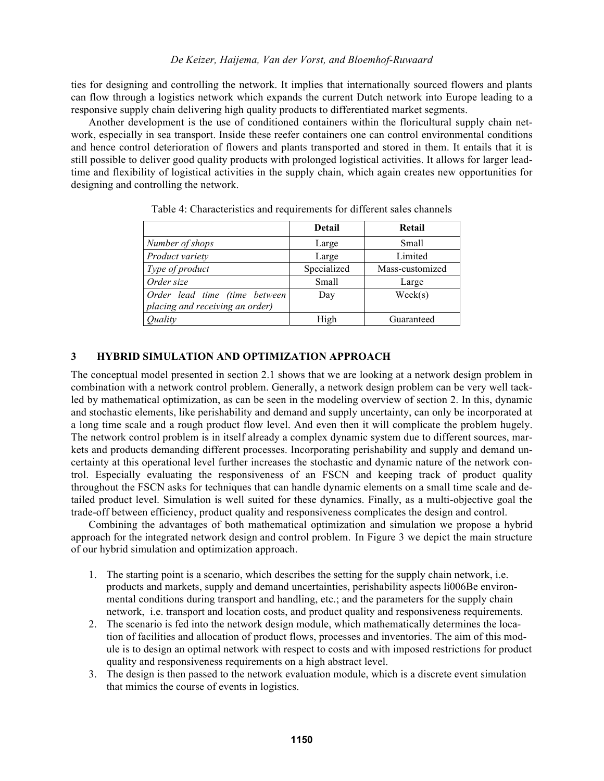ties for designing and controlling the network. It implies that internationally sourced flowers and plants can flow through a logistics network which expands the current Dutch network into Europe leading to a responsive supply chain delivering high quality products to differentiated market segments.

 Another development is the use of conditioned containers within the floricultural supply chain network, especially in sea transport. Inside these reefer containers one can control environmental conditions and hence control deterioration of flowers and plants transported and stored in them. It entails that it is still possible to deliver good quality products with prolonged logistical activities. It allows for larger leadtime and flexibility of logistical activities in the supply chain, which again creates new opportunities for designing and controlling the network.

|                                                                  | <b>Detail</b> | Retail          |
|------------------------------------------------------------------|---------------|-----------------|
| Number of shops                                                  | Large         | Small           |
| Product variety                                                  | Large         | Limited         |
| Type of product                                                  | Specialized   | Mass-customized |
| Order size                                                       | Small         | Large           |
| Order lead time (time between<br>placing and receiving an order) | Day           | Week(s)         |
| Quality                                                          | High          | Guaranteed      |

Table 4: Characteristics and requirements for different sales channels

## **3 HYBRID SIMULATION AND OPTIMIZATION APPROACH**

The conceptual model presented in section 2.1 shows that we are looking at a network design problem in combination with a network control problem. Generally, a network design problem can be very well tackled by mathematical optimization, as can be seen in the modeling overview of section 2. In this, dynamic and stochastic elements, like perishability and demand and supply uncertainty, can only be incorporated at a long time scale and a rough product flow level. And even then it will complicate the problem hugely. The network control problem is in itself already a complex dynamic system due to different sources, markets and products demanding different processes. Incorporating perishability and supply and demand uncertainty at this operational level further increases the stochastic and dynamic nature of the network control. Especially evaluating the responsiveness of an FSCN and keeping track of product quality throughout the FSCN asks for techniques that can handle dynamic elements on a small time scale and detailed product level. Simulation is well suited for these dynamics. Finally, as a multi-objective goal the trade-off between efficiency, product quality and responsiveness complicates the design and control.

 Combining the advantages of both mathematical optimization and simulation we propose a hybrid approach for the integrated network design and control problem. In Figure 3 we depict the main structure of our hybrid simulation and optimization approach.

- 1. The starting point is a scenario, which describes the setting for the supply chain network, i.e. products and markets, supply and demand uncertainties, perishability aspects li006Be environmental conditions during transport and handling, etc.; and the parameters for the supply chain network, i.e. transport and location costs, and product quality and responsiveness requirements.
- 2. The scenario is fed into the network design module, which mathematically determines the location of facilities and allocation of product flows, processes and inventories. The aim of this module is to design an optimal network with respect to costs and with imposed restrictions for product quality and responsiveness requirements on a high abstract level.
- 3. The design is then passed to the network evaluation module, which is a discrete event simulation that mimics the course of events in logistics.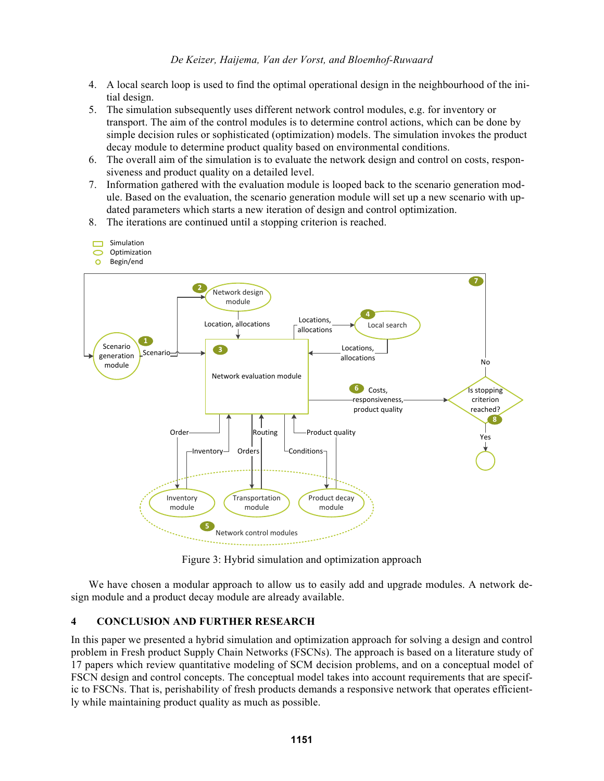- 4. A local search loop is used to find the optimal operational design in the neighbourhood of the initial design.
- 5. The simulation subsequently uses different network control modules, e.g. for inventory or transport. The aim of the control modules is to determine control actions, which can be done by simple decision rules or sophisticated (optimization) models. The simulation invokes the product decay module to determine product quality based on environmental conditions.
- 6. The overall aim of the simulation is to evaluate the network design and control on costs, responsiveness and product quality on a detailed level.
- 7. Information gathered with the evaluation module is looped back to the scenario generation module. Based on the evaluation, the scenario generation module will set up a new scenario with updated parameters which starts a new iteration of design and control optimization.
- 8. The iterations are continued until a stopping criterion is reached.
- Simulation
- O Optimization
- Begin/end



Figure 3: Hybrid simulation and optimization approach

We have chosen a modular approach to allow us to easily add and upgrade modules. A network design module and a product decay module are already available.

## **4 CONCLUSION AND FURTHER RESEARCH**

In this paper we presented a hybrid simulation and optimization approach for solving a design and control problem in Fresh product Supply Chain Networks (FSCNs). The approach is based on a literature study of 17 papers which review quantitative modeling of SCM decision problems, and on a conceptual model of FSCN design and control concepts. The conceptual model takes into account requirements that are specific to FSCNs. That is, perishability of fresh products demands a responsive network that operates efficiently while maintaining product quality as much as possible.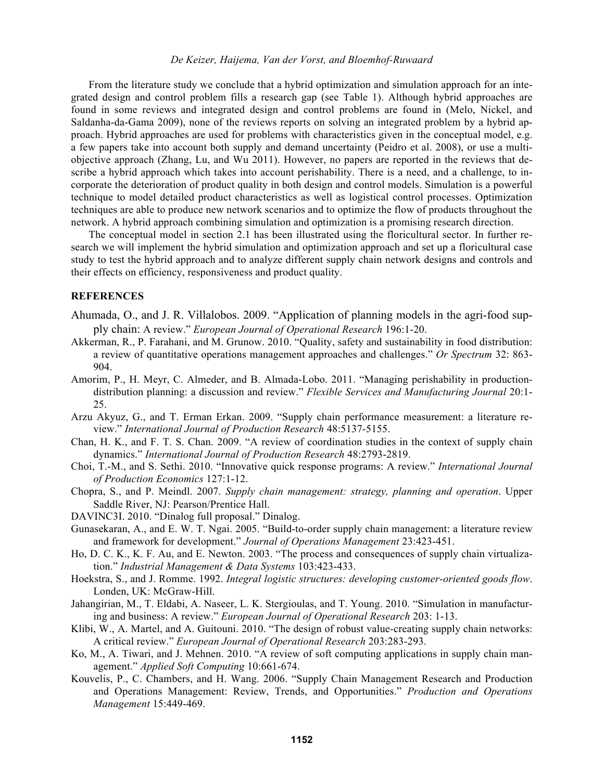From the literature study we conclude that a hybrid optimization and simulation approach for an integrated design and control problem fills a research gap (see Table 1). Although hybrid approaches are found in some reviews and integrated design and control problems are found in (Melo, Nickel, and Saldanha-da-Gama 2009), none of the reviews reports on solving an integrated problem by a hybrid approach. Hybrid approaches are used for problems with characteristics given in the conceptual model, e.g. a few papers take into account both supply and demand uncertainty (Peidro et al. 2008), or use a multiobjective approach (Zhang, Lu, and Wu 2011). However, no papers are reported in the reviews that describe a hybrid approach which takes into account perishability. There is a need, and a challenge, to incorporate the deterioration of product quality in both design and control models. Simulation is a powerful technique to model detailed product characteristics as well as logistical control processes. Optimization techniques are able to produce new network scenarios and to optimize the flow of products throughout the network. A hybrid approach combining simulation and optimization is a promising research direction.

 The conceptual model in section 2.1 has been illustrated using the floricultural sector. In further research we will implement the hybrid simulation and optimization approach and set up a floricultural case study to test the hybrid approach and to analyze different supply chain network designs and controls and their effects on efficiency, responsiveness and product quality.

### **REFERENCES**

- Ahumada, O., and J. R. Villalobos. 2009. "Application of planning models in the agri-food supply chain: A review." *European Journal of Operational Research* 196:1-20.
- Akkerman, R., P. Farahani, and M. Grunow. 2010. "Quality, safety and sustainability in food distribution: a review of quantitative operations management approaches and challenges." *Or Spectrum* 32: 863- 904.
- Amorim, P., H. Meyr, C. Almeder, and B. Almada-Lobo. 2011. "Managing perishability in productiondistribution planning: a discussion and review." *Flexible Services and Manufacturing Journal* 20:1- 25.
- Arzu Akyuz, G., and T. Erman Erkan. 2009. "Supply chain performance measurement: a literature review." *International Journal of Production Research* 48:5137-5155.
- Chan, H. K., and F. T. S. Chan. 2009. "A review of coordination studies in the context of supply chain dynamics." *International Journal of Production Research* 48:2793-2819.
- Choi, T.-M., and S. Sethi. 2010. "Innovative quick response programs: A review." *International Journal of Production Economics* 127:1-12.
- Chopra, S., and P. Meindl. 2007. *Supply chain management: strategy, planning and operation*. Upper Saddle River, NJ: Pearson/Prentice Hall.
- DAVINC3I. 2010. "Dinalog full proposal." Dinalog.
- Gunasekaran, A., and E. W. T. Ngai. 2005. "Build-to-order supply chain management: a literature review and framework for development." *Journal of Operations Management* 23:423-451.
- Ho, D. C. K., K. F. Au, and E. Newton. 2003. "The process and consequences of supply chain virtualization." *Industrial Management & Data Systems* 103:423-433.
- Hoekstra, S., and J. Romme. 1992. *Integral logistic structures: developing customer-oriented goods flow*. Londen, UK: McGraw-Hill.
- Jahangirian, M., T. Eldabi, A. Naseer, L. K. Stergioulas, and T. Young. 2010. "Simulation in manufacturing and business: A review." *European Journal of Operational Research* 203: 1-13.
- Klibi, W., A. Martel, and A. Guitouni. 2010. "The design of robust value-creating supply chain networks: A critical review." *European Journal of Operational Research* 203:283-293.
- Ko, M., A. Tiwari, and J. Mehnen. 2010. "A review of soft computing applications in supply chain management." *Applied Soft Computing* 10:661-674.
- Kouvelis, P., C. Chambers, and H. Wang. 2006. "Supply Chain Management Research and Production and Operations Management: Review, Trends, and Opportunities." *Production and Operations Management* 15:449-469.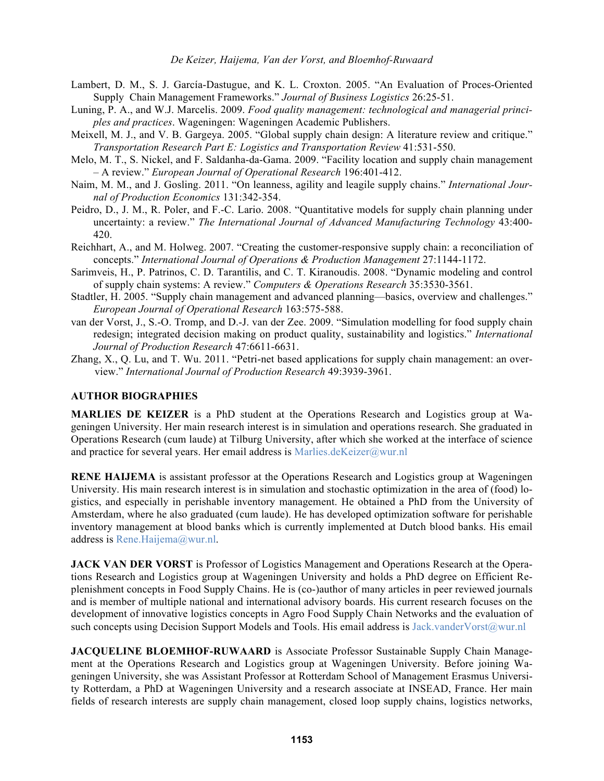- Lambert, D. M., S. J. García-Dastugue, and K. L. Croxton. 2005. "An Evaluation of Proces-Oriented Supply Chain Management Frameworks." *Journal of Business Logistics* 26:25-51.
- Luning, P. A., and W.J. Marcelis. 2009. *Food quality management: technological and managerial principles and practices*. Wageningen: Wageningen Academic Publishers.
- Meixell, M. J., and V. B. Gargeya. 2005. "Global supply chain design: A literature review and critique." *Transportation Research Part E: Logistics and Transportation Review* 41:531-550.
- Melo, M. T., S. Nickel, and F. Saldanha-da-Gama. 2009. "Facility location and supply chain management – A review." *European Journal of Operational Research* 196:401-412.
- Naim, M. M., and J. Gosling. 2011. "On leanness, agility and leagile supply chains." *International Journal of Production Economics* 131:342-354.
- Peidro, D., J. M., R. Poler, and F.-C. Lario. 2008. "Quantitative models for supply chain planning under uncertainty: a review." *The International Journal of Advanced Manufacturing Technology* 43:400- 420.
- Reichhart, A., and M. Holweg. 2007. "Creating the customer-responsive supply chain: a reconciliation of concepts." *International Journal of Operations & Production Management* 27:1144-1172.
- Sarimveis, H., P. Patrinos, C. D. Tarantilis, and C. T. Kiranoudis. 2008. "Dynamic modeling and control of supply chain systems: A review." *Computers & Operations Research* 35:3530-3561.
- Stadtler, H. 2005. "Supply chain management and advanced planning––basics, overview and challenges." *European Journal of Operational Research* 163:575-588.
- van der Vorst, J., S.-O. Tromp, and D.-J. van der Zee. 2009. "Simulation modelling for food supply chain redesign; integrated decision making on product quality, sustainability and logistics." *International Journal of Production Research* 47:6611-6631.
- Zhang, X., Q. Lu, and T. Wu. 2011. "Petri-net based applications for supply chain management: an overview." *International Journal of Production Research* 49:3939-3961.

### **AUTHOR BIOGRAPHIES**

**MARLIES DE KEIZER** is a PhD student at the Operations Research and Logistics group at Wageningen University. Her main research interest is in simulation and operations research. She graduated in Operations Research (cum laude) at Tilburg University, after which she worked at the interface of science and practice for several years. Her email address is Marlies.deKeizer@wur.nl

**RENE HAIJEMA** is assistant professor at the Operations Research and Logistics group at Wageningen University. His main research interest is in simulation and stochastic optimization in the area of (food) logistics, and especially in perishable inventory management. He obtained a PhD from the University of Amsterdam, where he also graduated (cum laude). He has developed optimization software for perishable inventory management at blood banks which is currently implemented at Dutch blood banks. His email address is Rene.Haijema@wur.nl.

**JACK VAN DER VORST** is Professor of Logistics Management and Operations Research at the Operations Research and Logistics group at Wageningen University and holds a PhD degree on Efficient Replenishment concepts in Food Supply Chains. He is (co-)author of many articles in peer reviewed journals and is member of multiple national and international advisory boards. His current research focuses on the development of innovative logistics concepts in Agro Food Supply Chain Networks and the evaluation of such concepts using Decision Support Models and Tools. His email address is Jack.vanderVorst@wur.nl

**JACQUELINE BLOEMHOF-RUWAARD** is Associate Professor Sustainable Supply Chain Management at the Operations Research and Logistics group at Wageningen University. Before joining Wageningen University, she was Assistant Professor at Rotterdam School of Management Erasmus University Rotterdam, a PhD at Wageningen University and a research associate at INSEAD, France. Her main fields of research interests are supply chain management, closed loop supply chains, logistics networks,